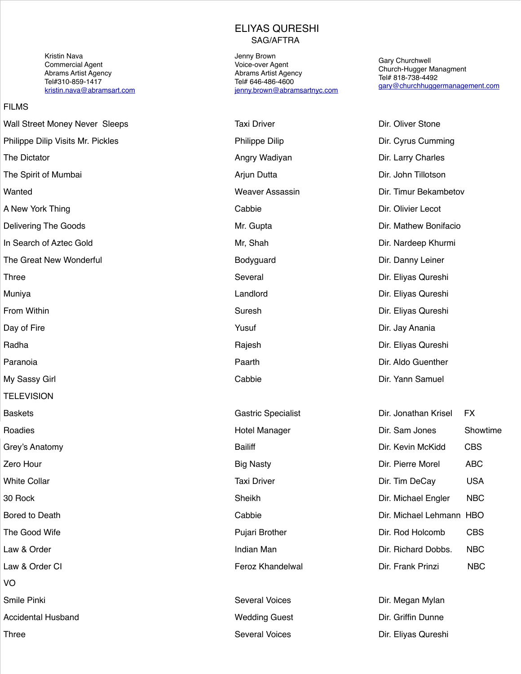Kristin Nava Commercial Agent Abrams Artist Agency Tel#310-859-1417 [kristin.nava@abramsart.com](mailto:kristin.nava@abramsart.com)

#### FILMS

**TELEVISION** Baskets Gastric Specialist Dir. Jonathan Krisel FX Roadies **Hotel Manager Hotel Manager Hotel Manager** Grey's Anatomy **Bailiff** Changes Contained Capacity Bailiff Directors and McKindom Bailiff Law & Order CI **Feroz Khandelwal** Director Control Director References **Feroz Khandelwal** VO Smile Pinki Several Voices Communication Communication Communication Communication Communication Communication Accidental Husband Wedding Guest Dir. Griffin Dunne Three Several Voices Dir. Eliyas Qureshi

### ELIYAS QURESHI SAG/AFTRA

Jenny Brown Voice-over Agent Abrams Artist Agency Tel# 646-486-4600 [jenny.brown@abramsartnyc.com](mailto:jenny.brown@abramsartnyc.com%20) 

Gary Churchwell Church-Hugger Managment Tel# 818-738-4492 [gary@churchhuggermanagement.com](mailto:gary@churchhuggermanagement.com)

Wall Street Money Never Sleeps Taxi Driver Taxi Driver Taxi Driver Communist Dir. Oliver Stone Philippe Dilip Visits Mr. Pickles **Philippe Dilip Philippe Dilip** Philippe Dilip Dir. Cyrus Cumming The Dictator **Angry Wadiyan** Angry Wadiyan Dir. Larry Charles The Spirit of Mumbai **Article Community Community** Arian Dutta **Arian Dutta** Dir. John Tillotson Wanted Weaver Assassin Dir. Timur Bekambetov A New York Thing **Cabbie** Cabbie **Dir. Olivier Lecot** Dir. Olivier Lecot Delivering The Goods Mr. Gupta Dir. Mathew Bonifacio In Search of Aztec Gold **Mr.** Shah Mr, Shah Dir. Nardeep Khurmi The Great New Wonderful Bodyguard Dir. Danny Leiner Three Several Dir. Eliyas Qureshi Muniya Landlord Dir. Eliyas Qureshi From Within **Example 2018** Suresh Controller Sureship Sureship Sureship Sureship Sureship Dir. Eliyas Qureshi Day of Fire Yusuf Dir. Jay Anania Radha Rajesh Dir. Eliyas Qureshi Paranoia Paarth Dir. Aldo Guenther My Sassy Girl **Cabbie** Cabbie **Cabbie** Dir. Yann Samuel

| baskels               | Gastric Specialist      | Dir. Jonalnan Krisel     | FА         |
|-----------------------|-------------------------|--------------------------|------------|
| Roadies               | Hotel Manager           | Dir. Sam Jones           | Showtime   |
| Grey's Anatomy        | <b>Bailiff</b>          | Dir. Kevin McKidd        | <b>CBS</b> |
| Zero Hour             | <b>Big Nasty</b>        | Dir. Pierre Morel        | <b>ABC</b> |
| White Collar          | <b>Taxi Driver</b>      | Dir. Tim DeCay           | <b>USA</b> |
| 30 Rock               | Sheikh                  | Dir. Michael Engler      | <b>NBC</b> |
| <b>Bored to Death</b> | Cabbie                  | Dir. Michael Lehmann HBO |            |
| The Good Wife         | Pujari Brother          | Dir. Rod Holcomb         | <b>CBS</b> |
| Law & Order           | Indian Man              | Dir. Richard Dobbs.      | <b>NBC</b> |
| Law & Order CI        | <b>Feroz Khandelwal</b> | Dir. Frank Prinzi        | <b>NBC</b> |
| VO                    |                         |                          |            |